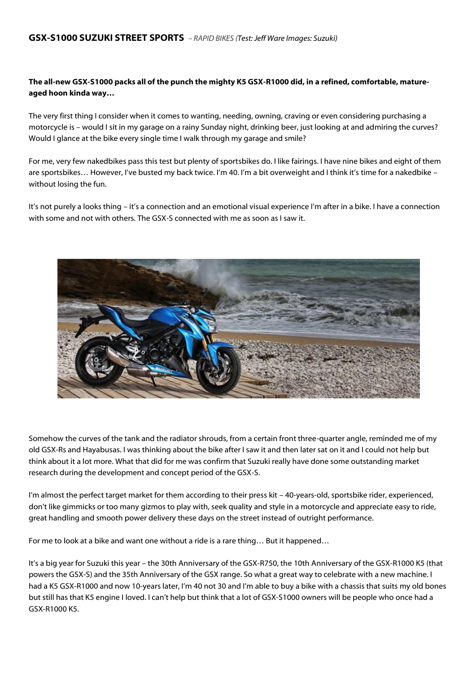# **The all-new GSX-S1000 packs all of the punch the mighty K5 GSX-R1000 did, in a refined, comfortable, matureaged hoon kinda way…**

The very first thing I consider when it comes to wanting, needing, owning, craving or even considering purchasing a motorcycle is – would I sit in my garage on a rainy Sunday night, drinking beer, just looking at and admiring the curves? Would I glance at the bike every single time I walk through my garage and smile?

For me, very few nakedbikes pass this test but plenty of sportsbikes do. I like fairings. I have nine bikes and eight of them are sportsbikes… However, I've busted my back twice. I'm 40. I'm a bit overweight and I think it's time for a nakedbike – without losing the fun.

It's not purely a looks thing – it's a connection and an emotional visual experience I'm after in a bike. I have a connection with some and not with others. The GSX-S connected with me as soon as I saw it.



Somehow the curves of the tank and the radiator shrouds, from a certain front three-quarter angle, reminded me of my old GSX-Rs and Hayabusas. I was thinking about the bike after I saw it and then later sat on it and I could not help but think about it a lot more. What that did for me was confirm that Suzuki really have done some outstanding market research during the development and concept period of the GSX-S.

I'm almost the perfect target market for them according to their press kit – 40-years-old, sportsbike rider, experienced, don't like gimmicks or too many gizmos to play with, seek quality and style in a motorcycle and appreciate easy to ride, great handling and smooth power delivery these days on the street instead of outright performance.

For me to look at a bike and want one without a ride is a rare thing... But it happened...

It's a big year for Suzuki this year – the 30th Anniversary of the GSX-R750, the 10th Anniversary of the GSX-R1000 K5 (that powers the GSX-S) and the 35th Anniversary of the GSX range. So what a great way to celebrate with a new machine. I had a K5 GSX-R1000 and now 10-years later, I'm 40 not 30 and I'm able to buy a bike with a chassis that suits my old bones but still has that K5 engine I loved. I can't help but think that a lot of GSX-S1000 owners will be people who once had a GSX-R1000 K5.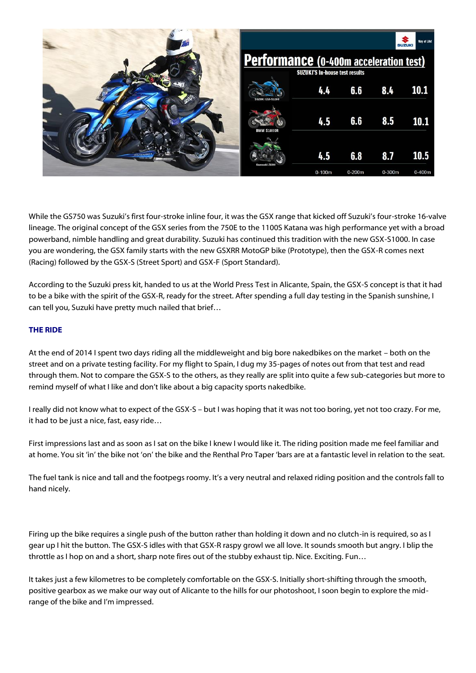

While the GS750 was Suzuki's first four-stroke inline four, it was the GSX range that kicked off Suzuki's four-stroke 16-valve lineage. The original concept of the GSX series from the 750E to the 1100S Katana was high performance yet with a broad powerband, nimble handling and great durability. Suzuki has continued this tradition with the new GSX-S1000. In case you are wondering, the GSX family starts with the new GSXRR MotoGP bike (Prototype), then the GSX-R comes next (Racing) followed by the GSX-S (Street Sport) and GSX-F (Sport Standard).

According to the Suzuki press kit, handed to us at the World Press Test in Alicante, Spain, the GSX-S concept is that it had to be a bike with the spirit of the GSX-R, ready for the street. After spending a full day testing in the Spanish sunshine, I can tell you, Suzuki have pretty much nailed that brief…

## **THE RIDE**

At the end of 2014 I spent two days riding all the middleweight and big bore nakedbikes on the market – both on the street and on a private testing facility. For my flight to Spain, I dug my 35-pages of notes out from that test and read through them. Not to compare the GSX-S to the others, as they really are split into quite a few sub-categories but more to remind myself of what I like and don't like about a big capacity sports nakedbike.

I really did not know what to expect of the GSX-S – but I was hoping that it was not too boring, yet not too crazy. For me, it had to be just a nice, fast, easy ride…

First impressions last and as soon as I sat on the bike I knew I would like it. The riding position made me feel familiar and at home. You sit 'in' the bike not 'on' the bike and the Renthal Pro Taper 'bars are at a fantastic level in relation to the seat.

The fuel tank is nice and tall and the footpegs roomy. It's a very neutral and relaxed riding position and the controls fall to hand nicely.

Firing up the bike requires a single push of the button rather than holding it down and no clutch-in is required, so as I gear up I hit the button. The GSX-S idles with that GSX-R raspy growl we all love. It sounds smooth but angry. I blip the throttle as I hop on and a short, sharp note fires out of the stubby exhaust tip. Nice. Exciting. Fun…

It takes just a few kilometres to be completely comfortable on the GSX-S. Initially short-shifting through the smooth, positive gearbox as we make our way out of Alicante to the hills for our photoshoot, I soon begin to explore the midrange of the bike and I'm impressed.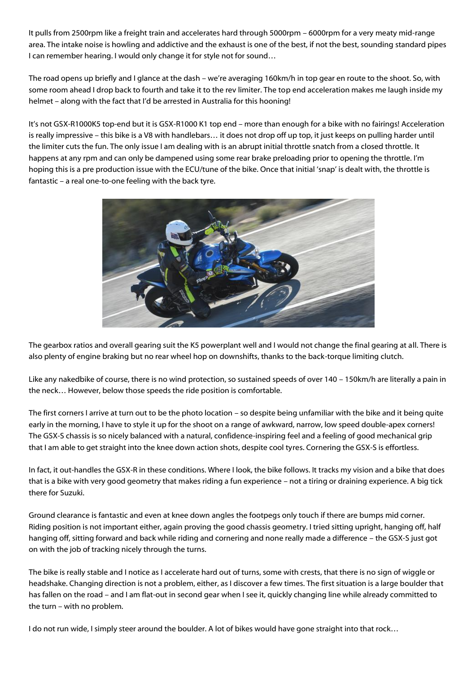It pulls from 2500rpm like a freight train and accelerates hard through 5000rpm – 6000rpm for a very meaty mid-range area. The intake noise is howling and addictive and the exhaust is one of the best, if not the best, sounding standard pipes I can remember hearing. I would only change it for style not for sound…

The road opens up briefly and I glance at the dash – we're averaging 160km/h in top gear en route to the shoot. So, with some room ahead I drop back to fourth and take it to the rev limiter. The top end acceleration makes me laugh inside my helmet – along with the fact that I'd be arrested in Australia for this hooning!

It's not GSX-R1000K5 top-end but it is GSX-R1000 K1 top end – more than enough for a bike with no fairings! Acceleration is really impressive – this bike is a V8 with handlebars… it does not drop off up top, it just keeps on pulling harder until the limiter cuts the fun. The only issue I am dealing with is an abrupt initial throttle snatch from a closed throttle. It happens at any rpm and can only be dampened using some rear brake preloading prior to opening the throttle. I'm hoping this is a pre production issue with the ECU/tune of the bike. Once that initial 'snap' is dealt with, the throttle is fantastic – a real one-to-one feeling with the back tyre.



The gearbox ratios and overall gearing suit the K5 powerplant well and I would not change the final gearing at all. There is also plenty of engine braking but no rear wheel hop on downshifts, thanks to the back-torque limiting clutch.

Like any nakedbike of course, there is no wind protection, so sustained speeds of over 140 – 150km/h are literally a pain in the neck… However, below those speeds the ride position is comfortable.

The first corners I arrive at turn out to be the photo location – so despite being unfamiliar with the bike and it being quite early in the morning, I have to style it up for the shoot on a range of awkward, narrow, low speed double-apex corners! The GSX-S chassis is so nicely balanced with a natural, confidence-inspiring feel and a feeling of good mechanical grip that I am able to get straight into the knee down action shots, despite cool tyres. Cornering the GSX-S is effortless.

In fact, it out-handles the GSX-R in these conditions. Where I look, the bike follows. It tracks my vision and a bike that does that is a bike with very good geometry that makes riding a fun experience – not a tiring or draining experience. A big tick there for Suzuki.

Ground clearance is fantastic and even at knee down angles the footpegs only touch if there are bumps mid corner. Riding position is not important either, again proving the good chassis geometry. I tried sitting upright, hanging off, half hanging off, sitting forward and back while riding and cornering and none really made a difference – the GSX-S just got on with the job of tracking nicely through the turns.

The bike is really stable and I notice as I accelerate hard out of turns, some with crests, that there is no sign of wiggle or headshake. Changing direction is not a problem, either, as I discover a few times. The first situation is a large boulder that has fallen on the road – and I am flat-out in second gear when I see it, quickly changing line while already committed to the turn – with no problem.

I do not run wide, I simply steer around the boulder. A lot of bikes would have gone straight into that rock…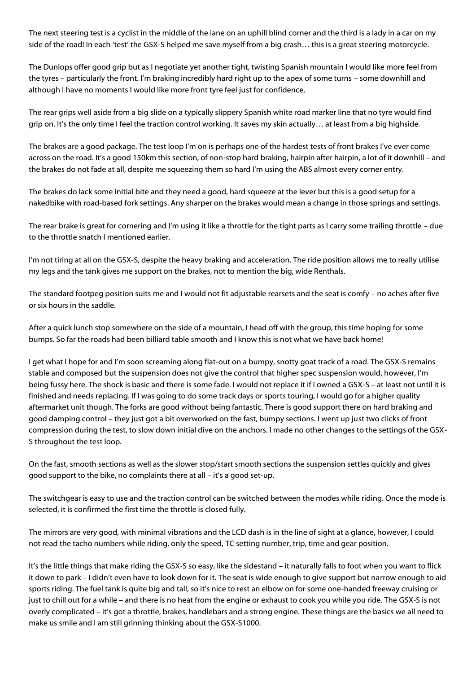The next steering test is a cyclist in the middle of the lane on an uphill blind corner and the third is a lady in a car on my side of the road! In each 'test' the GSX-S helped me save myself from a big crash… this is a great steering motorcycle.

The Dunlops offer good grip but as I negotiate yet another tight, twisting Spanish mountain I would like more feel from the tyres – particularly the front. I'm braking incredibly hard right up to the apex of some turns – some downhill and although I have no moments I would like more front tyre feel just for confidence.

The rear grips well aside from a big slide on a typically slippery Spanish white road marker line that no tyre would find grip on. It's the only time I feel the traction control working. It saves my skin actually… at least from a big highside.

The brakes are a good package. The test loop I'm on is perhaps one of the hardest tests of front brakes I've ever come across on the road. It's a good 150km this section, of non-stop hard braking, hairpin after hairpin, a lot of it downhill – and the brakes do not fade at all, despite me squeezing them so hard I'm using the ABS almost every corner entry.

The brakes do lack some initial bite and they need a good, hard squeeze at the lever but this is a good setup for a nakedbike with road-based fork settings. Any sharper on the brakes would mean a change in those springs and settings.

The rear brake is great for cornering and I'm using it like a throttle for the tight parts as I carry some trailing throttle – due to the throttle snatch I mentioned earlier.

I'm not tiring at all on the GSX-S, despite the heavy braking and acceleration. The ride position allows me to really utilise my legs and the tank gives me support on the brakes, not to mention the big, wide Renthals.

The standard footpeg position suits me and I would not fit adjustable rearsets and the seat is comfy – no aches after five or six hours in the saddle.

After a quick lunch stop somewhere on the side of a mountain, I head off with the group, this time hoping for some bumps. So far the roads had been billiard table smooth and I know this is not what we have back home!

I get what I hope for and I'm soon screaming along flat-out on a bumpy, snotty goat track of a road. The GSX-S remains stable and composed but the suspension does not give the control that higher spec suspension would, however, I'm being fussy here. The shock is basic and there is some fade. I would not replace it if I owned a GSX-S – at least not until it is finished and needs replacing. If I was going to do some track days or sports touring, I would go for a higher quality aftermarket unit though. The forks are good without being fantastic. There is good support there on hard braking and good damping control – they just got a bit overworked on the fast, bumpy sections. I went up just two clicks of front compression during the test, to slow down initial dive on the anchors. I made no other changes to the settings of the GSX-S throughout the test loop.

On the fast, smooth sections as well as the slower stop/start smooth sections the suspension settles quickly and gives good support to the bike, no complaints there at all – it's a good set-up.

The switchgear is easy to use and the traction control can be switched between the modes while riding. Once the mode is selected, it is confirmed the first time the throttle is closed fully.

The mirrors are very good, with minimal vibrations and the LCD dash is in the line of sight at a glance, however, I could not read the tacho numbers while riding, only the speed, TC setting number, trip, time and gear position.

It's the little things that make riding the GSX-S so easy, like the sidestand – it naturally falls to foot when you want to flick it down to park – I didn't even have to look down for it. The seat is wide enough to give support but narrow enough to aid sports riding. The fuel tank is quite big and tall, so it's nice to rest an elbow on for some one-handed freeway cruising or just to chill out for a while – and there is no heat from the engine or exhaust to cook you while you ride. The GSX-S is not overly complicated – it's got a throttle, brakes, handlebars and a strong engine. These things are the basics we all need to make us smile and I am still grinning thinking about the GSX-S1000.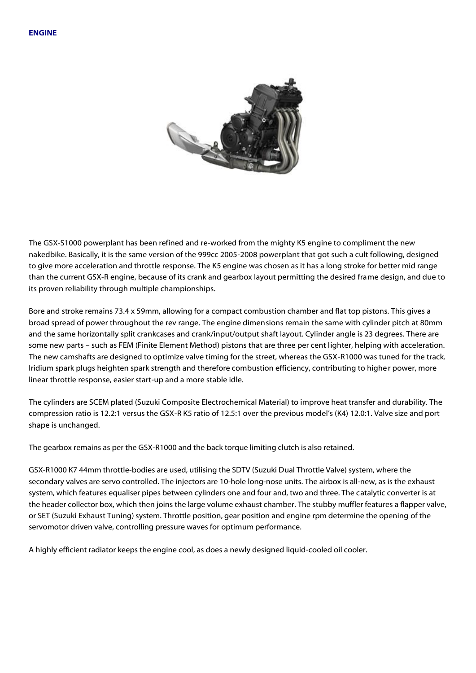

The GSX-S1000 powerplant has been refined and re-worked from the mighty K5 engine to compliment the new nakedbike. Basically, it is the same version of the 999cc 2005-2008 powerplant that got such a cult following, designed to give more acceleration and throttle response. The K5 engine was chosen as it has a long stroke for better mid range than the current GSX-R engine, because of its crank and gearbox layout permitting the desired frame design, and due to its proven reliability through multiple championships.

Bore and stroke remains 73.4 x 59mm, allowing for a compact combustion chamber and flat top pistons. This gives a broad spread of power throughout the rev range. The engine dimensions remain the same with cylinder pitch at 80mm and the same horizontally split crankcases and crank/input/output shaft layout. Cylinder angle is 23 degrees. There are some new parts – such as FEM (Finite Element Method) pistons that are three per cent lighter, helping with acceleration. The new camshafts are designed to optimize valve timing for the street, whereas the GSX-R1000 was tuned for the track. Iridium spark plugs heighten spark strength and therefore combustion efficiency, contributing to higher power, more linear throttle response, easier start-up and a more stable idle.

The cylinders are SCEM plated (Suzuki Composite Electrochemical Material) to improve heat transfer and durability. The compression ratio is 12.2:1 versus the GSX-R K5 ratio of 12.5:1 over the previous model's (K4) 12.0:1. Valve size and port shape is unchanged.

The gearbox remains as per the GSX-R1000 and the back torque limiting clutch is also retained.

GSX-R1000 K7 44mm throttle-bodies are used, utilising the SDTV (Suzuki Dual Throttle Valve) system, where the secondary valves are servo controlled. The injectors are 10-hole long-nose units. The airbox is all-new, as is the exhaust system, which features equaliser pipes between cylinders one and four and, two and three. The catalytic converter is at the header collector box, which then joins the large volume exhaust chamber. The stubby muffler features a flapper valve, or SET (Suzuki Exhaust Tuning) system. Throttle position, gear position and engine rpm determine the opening of the servomotor driven valve, controlling pressure waves for optimum performance.

A highly efficient radiator keeps the engine cool, as does a newly designed liquid-cooled oil cooler.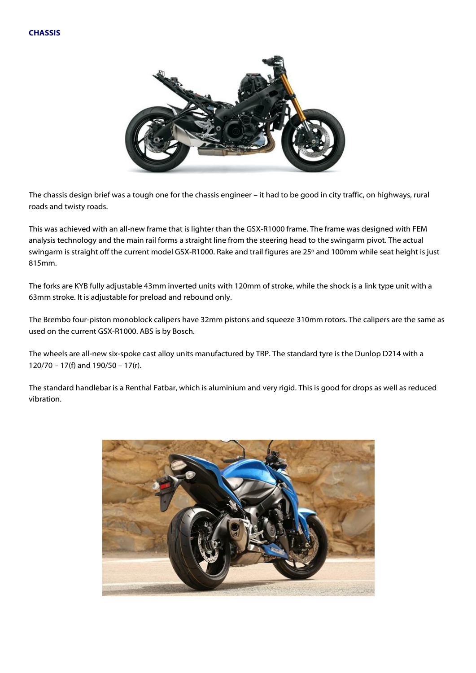

The chassis design brief was a tough one for the chassis engineer – it had to be good in city traffic, on highways, rural roads and twisty roads.

This was achieved with an all-new frame that is lighter than the GSX-R1000 frame. The frame was designed with FEM analysis technology and the main rail forms a straight line from the steering head to the swingarm pivot. The actual swingarm is straight off the current model GSX-R1000. Rake and trail figures are 25º and 100mm while seat height is just 815mm.

The forks are KYB fully adjustable 43mm inverted units with 120mm of stroke, while the shock is a link type unit with a 63mm stroke. It is adjustable for preload and rebound only.

The Brembo four-piston monoblock calipers have 32mm pistons and squeeze 310mm rotors. The calipers are the same as used on the current GSX-R1000. ABS is by Bosch.

The wheels are all-new six-spoke cast alloy units manufactured by TRP. The standard tyre is the Dunlop D214 with a 120/70 – 17(f) and 190/50 – 17(r).

The standard handlebar is a Renthal Fatbar, which is aluminium and very rigid. This is good for drops as well as reduced vibration.

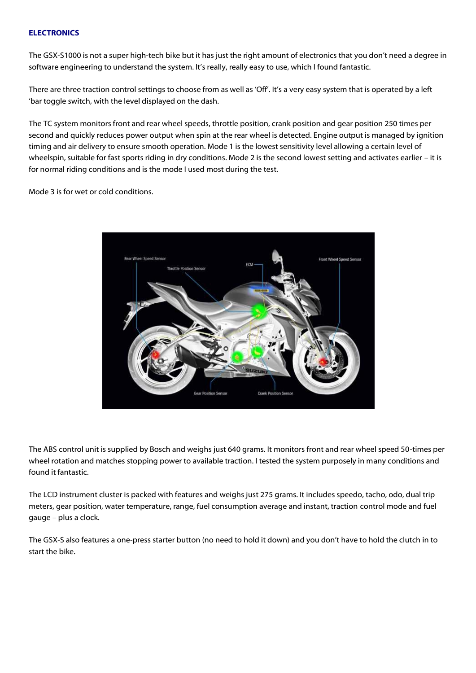#### **ELECTRONICS**

The GSX-S1000 is not a super high-tech bike but it has just the right amount of electronics that you don't need a degree in software engineering to understand the system. It's really, really easy to use, which I found fantastic.

There are three traction control settings to choose from as well as 'Off'. It's a very easy system that is operated by a left 'bar toggle switch, with the level displayed on the dash.

The TC system monitors front and rear wheel speeds, throttle position, crank position and gear position 250 times per second and quickly reduces power output when spin at the rear wheel is detected. Engine output is managed by ignition timing and air delivery to ensure smooth operation. Mode 1 is the lowest sensitivity level allowing a certain level of wheelspin, suitable for fast sports riding in dry conditions. Mode 2 is the second lowest setting and activates earlier – it is for normal riding conditions and is the mode I used most during the test.

Mode 3 is for wet or cold conditions.



The ABS control unit is supplied by Bosch and weighs just 640 grams. It monitors front and rear wheel speed 50-times per wheel rotation and matches stopping power to available traction. I tested the system purposely in many conditions and found it fantastic.

The LCD instrument cluster is packed with features and weighs just 275 grams. It includes speedo, tacho, odo, dual trip meters, gear position, water temperature, range, fuel consumption average and instant, traction control mode and fuel gauge – plus a clock.

The GSX-S also features a one-press starter button (no need to hold it down) and you don't have to hold the clutch in to start the bike.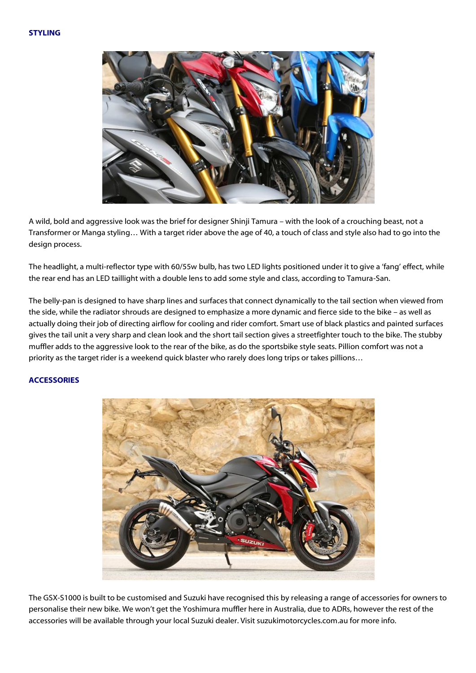#### **STYLING**



A wild, bold and aggressive look was the brief for designer Shinji Tamura – with the look of a crouching beast, not a Transformer or Manga styling… With a target rider above the age of 40, a touch of class and style also had to go into the design process.

The headlight, a multi-reflector type with 60/55w bulb, has two LED lights positioned under it to give a 'fang' effect, while the rear end has an LED taillight with a double lens to add some style and class, according to Tamura-San.

The belly-pan is designed to have sharp lines and surfaces that connect dynamically to the tail section when viewed from the side, while the radiator shrouds are designed to emphasize a more dynamic and fierce side to the bike – as well as actually doing their job of directing airflow for cooling and rider comfort. Smart use of black plastics and painted surfaces gives the tail unit a very sharp and clean look and the short tail section gives a streetfighter touch to the bike. The stubby muffler adds to the aggressive look to the rear of the bike, as do the sportsbike style seats. Pillion comfort was not a priority as the target rider is a weekend quick blaster who rarely does long trips or takes pillions…

## **ACCESSORIES**



The GSX-S1000 is built to be customised and Suzuki have recognised this by releasing a range of accessories for owners to personalise their new bike. We won't get the Yoshimura muffler here in Australia, due to ADRs, however the rest of the accessories will be available through your local Suzuki dealer. Visit suzukimotorcycles.com.au for more info.